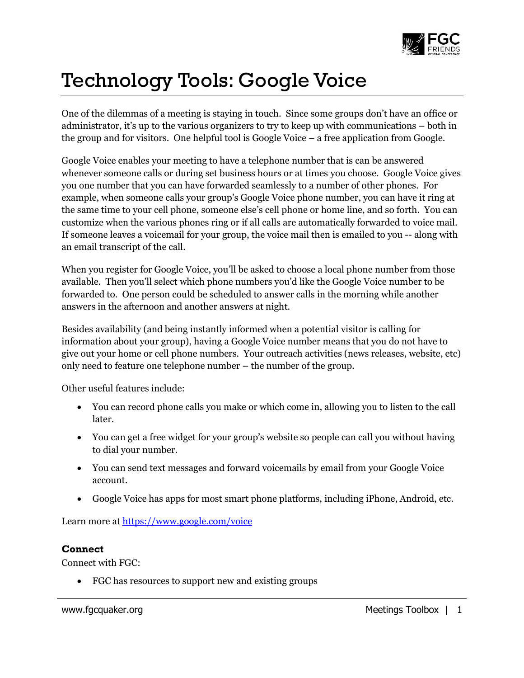

## Technology Tools: Google Voice

One of the dilemmas of a meeting is staying in touch. Since some groups don't have an office or administrator, it's up to the various organizers to try to keep up with communications – both in the group and for visitors. One helpful tool is Google Voice – a free application from Google.

Google Voice enables your meeting to have a telephone number that is can be answered whenever someone calls or during set business hours or at times you choose. Google Voice gives you one number that you can have forwarded seamlessly to a number of other phones. For example, when someone calls your group's Google Voice phone number, you can have it ring at the same time to your cell phone, someone else's cell phone or home line, and so forth. You can customize when the various phones ring or if all calls are automatically forwarded to voice mail. If someone leaves a voicemail for your group, the voice mail then is emailed to you -- along with an email transcript of the call.

When you register for Google Voice, you'll be asked to choose a local phone number from those available. Then you'll select which phone numbers you'd like the Google Voice number to be forwarded to. One person could be scheduled to answer calls in the morning while another answers in the afternoon and another answers at night.

Besides availability (and being instantly informed when a potential visitor is calling for information about your group), having a Google Voice number means that you do not have to give out your home or cell phone numbers. Your outreach activities (news releases, website, etc) only need to feature one telephone number – the number of the group.

Other useful features include:

- You can record phone calls you make or which come in, allowing you to listen to the call later.
- You can get a free widget for your group's website so people can call you without having to dial your number.
- You can send text messages and forward voicemails by email from your Google Voice account.
- Google Voice has apps for most smart phone platforms, including iPhone, Android, etc.

Learn more at<https://www.google.com/voice>

## **Connect**

Connect with FGC:

FGC has resources to support new and existing groups